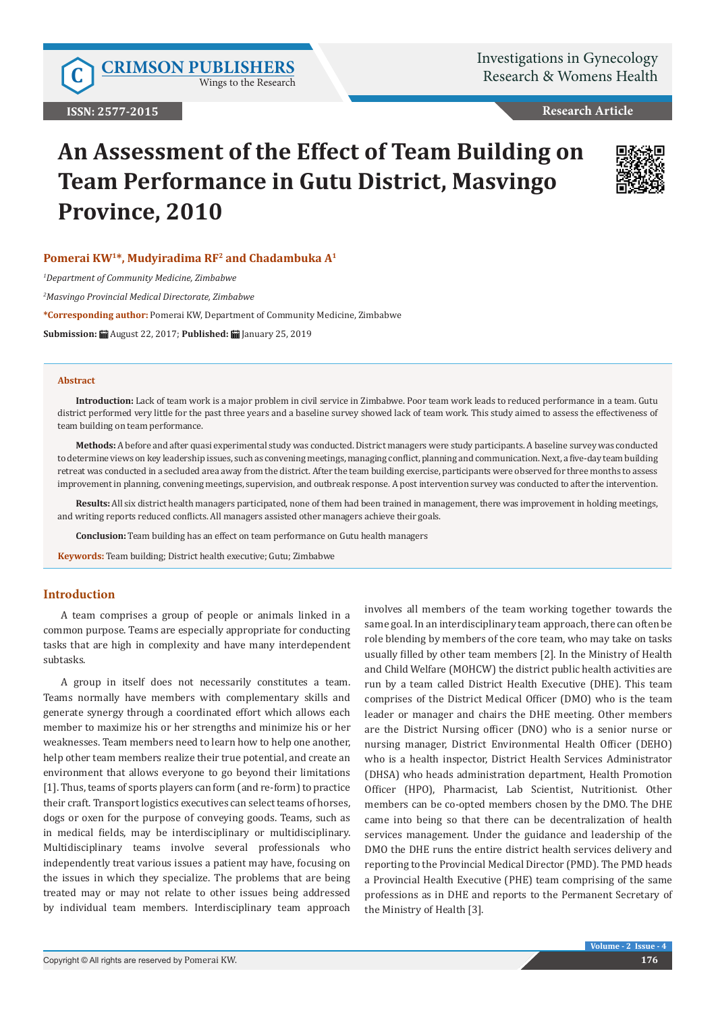Wings to the Research

# **Research Article**

# **An Assessment of the Effect of Team Building on Team Performance in Gutu District, Masvingo Province, 2010**



# **Pomerai KW1\*, Mudyiradima RF2 and Chadambuka A1**

*1 Department of Community Medicine, Zimbabwe*

*2 Masvingo Provincial Medical Directorate, Zimbabwe*

**\*Corresponding author:** Pomerai KW, Department of Community Medicine, Zimbabwe

**Submission:** August 22, 2017; **Published:** January 25, 2019

#### **Abstract**

**Introduction:** Lack of team work is a major problem in civil service in Zimbabwe. Poor team work leads to reduced performance in a team. Gutu district performed very little for the past three years and a baseline survey showed lack of team work. This study aimed to assess the effectiveness of team building on team performance.

**Methods:** A before and after quasi experimental study was conducted. District managers were study participants. A baseline survey was conducted to determine views on key leadership issues, such as convening meetings, managing conflict, planning and communication. Next, a five-day team building retreat was conducted in a secluded area away from the district. After the team building exercise, participants were observed for three months to assess improvement in planning, convening meetings, supervision, and outbreak response. A post intervention survey was conducted to after the intervention.

**Results:** All six district health managers participated, none of them had been trained in management, there was improvement in holding meetings, and writing reports reduced conflicts. All managers assisted other managers achieve their goals.

**Conclusion:** Team building has an effect on team performance on Gutu health managers

**Keywords:** Team building; District health executive; Gutu; Zimbabwe

#### **Introduction**

A team comprises a [group of people](http://en.wikipedia.org/wiki/Groups_of_people) or [animals](http://en.wikipedia.org/wiki/Animal) linked in a common purpose. Teams are especially appropriate for conducting tasks that are high in [complexity](http://en.wikipedia.org/wiki/Complexity) and have many interdependent subtasks.

A group in itself does not necessarily constitutes a team. Teams normally have members with complementary skills and generate synergy through a coordinated effort which allows each member to maximize his or her strengths and minimize his or her weaknesses. Team members need to learn how to help one another, help other team members realize their true potential, and create an environment that allows everyone to go beyond their limitations [1]. Thus, teams of [sports](http://en.wikipedia.org/wiki/Sport) players can form (and re-form) to practice their craft. Transport logistics executives can select teams of [horses,](http://en.wikipedia.org/wiki/Horse) [dogs](http://en.wikipedia.org/wiki/Dog) or [oxen](http://en.wikipedia.org/wiki/Ox) for the purpose of conveying goods. Teams, such as in medical fields, may be interdisciplinary or multidisciplinary. Multidisciplinary teams involve several professionals who independently treat various issues a patient may have, focusing on the issues in which they specialize. The problems that are being treated may or may not relate to other issues being addressed by individual team members. Interdisciplinary team approach involves all members of the team working together towards the same goal. In an interdisciplinary team approach, there can often be role blending by members of the core team, who may take on tasks usually filled by other team members [2]. In the Ministry of Health and Child Welfare (MOHCW) the district public health activities are run by a team called District Health Executive (DHE). This team comprises of the District Medical Officer (DMO) who is the team leader or manager and chairs the DHE meeting. Other members are the District Nursing officer (DNO) who is a senior nurse or nursing manager, District Environmental Health Officer (DEHO) who is a health inspector, District Health Services Administrator (DHSA) who heads administration department, Health Promotion Officer (HPO), Pharmacist, Lab Scientist, Nutritionist. Other members can be co-opted members chosen by the DMO. The DHE came into being so that there can be decentralization of health services management. Under the guidance and leadership of the DMO the DHE runs the entire district health services delivery and reporting to the Provincial Medical Director (PMD). The PMD heads a Provincial Health Executive (PHE) team comprising of the same professions as in DHE and reports to the Permanent Secretary of the Ministry of Health [3].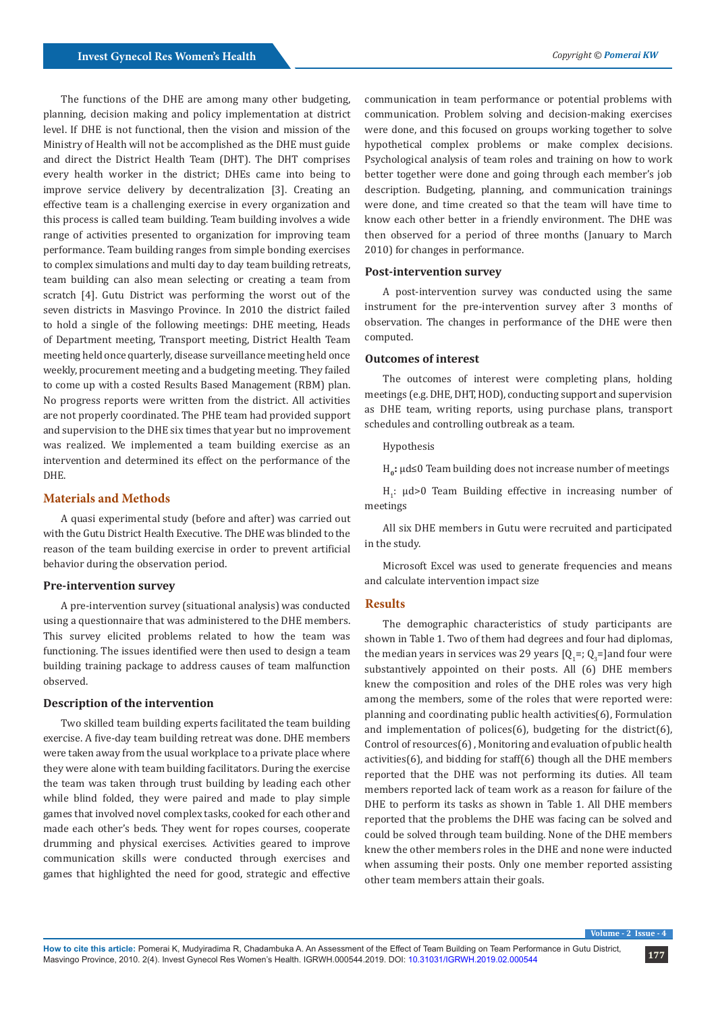The functions of the DHE are among many other budgeting, planning, decision making and policy implementation at district level. If DHE is not functional, then the vision and mission of the Ministry of Health will not be accomplished as the DHE must guide and direct the District Health Team (DHT). The DHT comprises every health worker in the district; DHEs came into being to improve service delivery by decentralization [3]. Creating an effective team is a challenging exercise in every organization and this process is called team building. Team building involves a wide range of activities presented to organization for improving team performance. Team building ranges from simple bonding exercises to complex simulations and multi day to day team building retreats, team building can also mean selecting or creating a team from scratch [4]. Gutu District was performing the worst out of the seven districts in Masvingo Province. In 2010 the district failed to hold a single of the following meetings: DHE meeting, Heads of Department meeting, Transport meeting, District Health Team meeting held once quarterly, disease surveillance meeting held once weekly, procurement meeting and a budgeting meeting. They failed to come up with a costed Results Based Management (RBM) plan. No progress reports were written from the district. All activities are not properly coordinated. The PHE team had provided support and supervision to the DHE six times that year but no improvement was realized. We implemented a team building exercise as an intervention and determined its effect on the performance of the DHE.

# **Materials and Methods**

A quasi experimental study (before and after) was carried out with the Gutu District Health Executive. The DHE was blinded to the reason of the team building exercise in order to prevent artificial behavior during the observation period.

#### **Pre-intervention survey**

A pre-intervention survey (situational analysis) was conducted using a questionnaire that was administered to the DHE members. This survey elicited problems related to how the team was functioning. The issues identified were then used to design a team building training package to address causes of team malfunction observed.

# **Description of the intervention**

Two skilled team building experts facilitated the team building exercise. A five-day team building retreat was done. DHE members were taken away from the usual workplace to a private place where they were alone with team building facilitators. During the exercise the team was taken through trust building by leading each other while blind folded, they were paired and made to play simple games that involved novel complex tasks, cooked for each other and made each other's beds. They went for ropes courses, cooperate drumming and physical exercises. Activities geared to improve communication skills were conducted through exercises and games that highlighted the need for good, strategic and effective

communication in team performance or potential problems with communication. Problem solving and decision-making exercises were done, and this focused on groups working together to solve hypothetical complex problems or make complex decisions. Psychological analysis of team roles and training on how to work better together were done and going through each member's job description. Budgeting, planning, and communication trainings were done, and time created so that the team will have time to know each other better in a friendly environment. The DHE was then observed for a period of three months (January to March 2010) for changes in performance.

#### **Post-intervention survey**

A post-intervention survey was conducted using the same instrument for the pre-intervention survey after 3 months of observation. The changes in performance of the DHE were then computed.

#### **Outcomes of interest**

The outcomes of interest were completing plans, holding meetings (e.g. DHE, DHT, HOD), conducting support and supervision as DHE team, writing reports, using purchase plans, transport schedules and controlling outbreak as a team.

#### Hypothesis

H<sub>a</sub>: µd≤0 Team building does not increase number of meetings

 $H_1$ :  $\mu$ d>0 Team Building effective in increasing number of meetings

All six DHE members in Gutu were recruited and participated in the study.

Microsoft Excel was used to generate frequencies and means and calculate intervention impact size

#### **Results**

The demographic characteristics of study participants are shown in Table 1. Two of them had degrees and four had diplomas, the median years in services was 29 years  $[Q_i =; Q_3 =]$ and four were substantively appointed on their posts. All (6) DHE members knew the composition and roles of the DHE roles was very high among the members, some of the roles that were reported were: planning and coordinating public health activities(6), Formulation and implementation of polices $(6)$ , budgeting for the district $(6)$ , Control of resources(6) , Monitoring and evaluation of public health activities(6), and bidding for staff(6) though all the DHE members reported that the DHE was not performing its duties. All team members reported lack of team work as a reason for failure of the DHE to perform its tasks as shown in Table 1. All DHE members reported that the problems the DHE was facing can be solved and could be solved through team building. None of the DHE members knew the other members roles in the DHE and none were inducted when assuming their posts. Only one member reported assisting other team members attain their goals.

**Volume - 2 Issue - 4**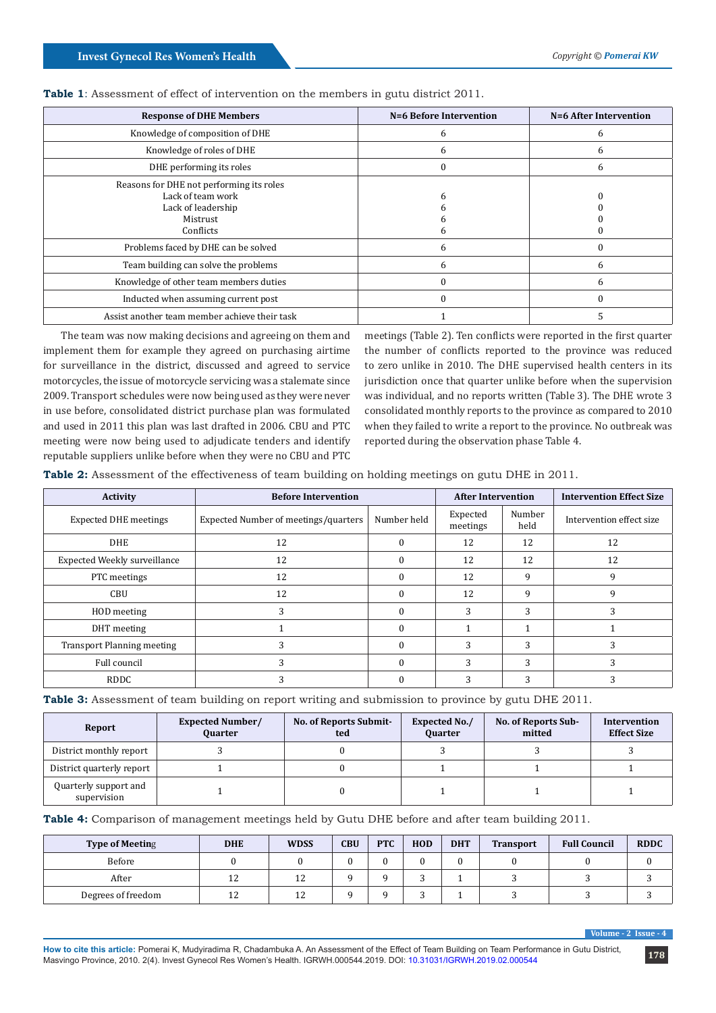| <b>Response of DHE Members</b>                                                                               | N=6 Before Intervention | N=6 After Intervention |
|--------------------------------------------------------------------------------------------------------------|-------------------------|------------------------|
| Knowledge of composition of DHE                                                                              | 6                       | 6                      |
| Knowledge of roles of DHE                                                                                    | 6                       | b                      |
| DHE performing its roles                                                                                     |                         | 6                      |
| Reasons for DHE not performing its roles<br>Lack of team work<br>Lack of leadership<br>Mistrust<br>Conflicts |                         |                        |
| Problems faced by DHE can be solved                                                                          | h                       |                        |
| Team building can solve the problems                                                                         | h                       | 6                      |
| Knowledge of other team members duties                                                                       |                         | 6                      |
| Inducted when assuming current post                                                                          |                         | $\Omega$               |
| Assist another team member achieve their task                                                                |                         |                        |

**Table 1**: Assessment of effect of intervention on the members in gutu district 2011.

The team was now making decisions and agreeing on them and implement them for example they agreed on purchasing airtime for surveillance in the district, discussed and agreed to service motorcycles, the issue of motorcycle servicing was a stalemate since 2009. Transport schedules were now being used as they were never in use before, consolidated district purchase plan was formulated and used in 2011 this plan was last drafted in 2006. CBU and PTC meeting were now being used to adjudicate tenders and identify reputable suppliers unlike before when they were no CBU and PTC

meetings (Table 2). Ten conflicts were reported in the first quarter the number of conflicts reported to the province was reduced to zero unlike in 2010. The DHE supervised health centers in its jurisdiction once that quarter unlike before when the supervision was individual, and no reports written (Table 3). The DHE wrote 3 consolidated monthly reports to the province as compared to 2010 when they failed to write a report to the province. No outbreak was reported during the observation phase Table 4.

| Table 2: Assessment of the effectiveness of team building on holding meetings on gutu DHE in 2011. |  |  |  |  |  |
|----------------------------------------------------------------------------------------------------|--|--|--|--|--|
|                                                                                                    |  |  |  |  |  |

| Activity                          | <b>Before Intervention</b>           | <b>After Intervention</b> |                      | <b>Intervention Effect Size</b> |                          |  |
|-----------------------------------|--------------------------------------|---------------------------|----------------------|---------------------------------|--------------------------|--|
| <b>Expected DHE meetings</b>      | Expected Number of meetings/quarters | Number held               | Expected<br>meetings | Number<br>held                  | Intervention effect size |  |
| DHE                               | 12                                   | $\Omega$                  | 12                   | 12                              | 12                       |  |
| Expected Weekly surveillance      | 12                                   | $\Omega$                  | 12                   | 12                              | 12                       |  |
| PTC meetings                      | 12                                   | $\theta$                  | 12                   | 9                               | 9                        |  |
| CBU                               | 12                                   | $\theta$                  | 12                   | 9                               | 9                        |  |
| HOD meeting                       | 3                                    | $\Omega$                  | 3                    | 3                               | 3                        |  |
| DHT meeting                       |                                      | $\Omega$                  |                      |                                 |                          |  |
| <b>Transport Planning meeting</b> |                                      | $\Omega$                  | 3                    | 3                               |                          |  |
| Full council                      |                                      | $\theta$                  | 3                    | 3                               | 3                        |  |
| <b>RDDC</b>                       |                                      |                           | $\mathbf{\hat{}}$    | 3                               | 3                        |  |

**Table 3:** Assessment of team building on report writing and submission to province by gutu DHE 2011.

| Report                               | <b>Expected Number/</b><br><b>Ouarter</b> | <b>No. of Reports Submit-</b><br>ted | <b>Expected No./</b><br><b>Quarter</b> | No. of Reports Sub-<br>mitted | Intervention<br><b>Effect Size</b> |  |
|--------------------------------------|-------------------------------------------|--------------------------------------|----------------------------------------|-------------------------------|------------------------------------|--|
| District monthly report              |                                           |                                      |                                        |                               |                                    |  |
| District quarterly report            |                                           |                                      |                                        |                               |                                    |  |
| Quarterly support and<br>supervision |                                           |                                      |                                        |                               |                                    |  |

**Table 4:** Comparison of management meetings held by Gutu DHE before and after team building 2011.

| <b>Type of Meeting</b> | <b>DHE</b>       | <b>WDSS</b> | <b>CBU</b> | <b>PTC</b> | HOD | <b>DHT</b> | <b>Transport</b> | <b>Full Council</b> | <b>RDDC</b> |
|------------------------|------------------|-------------|------------|------------|-----|------------|------------------|---------------------|-------------|
| Before                 |                  |             |            |            |     |            |                  |                     |             |
| After                  | $1^{\circ}$<br>ᅩ | 12          |            |            |     |            |                  |                     |             |
| Degrees of freedom     | $\sim$<br>ᅩ      | 12          |            |            |     |            |                  |                     |             |

**Volume - 2 Issue - 4**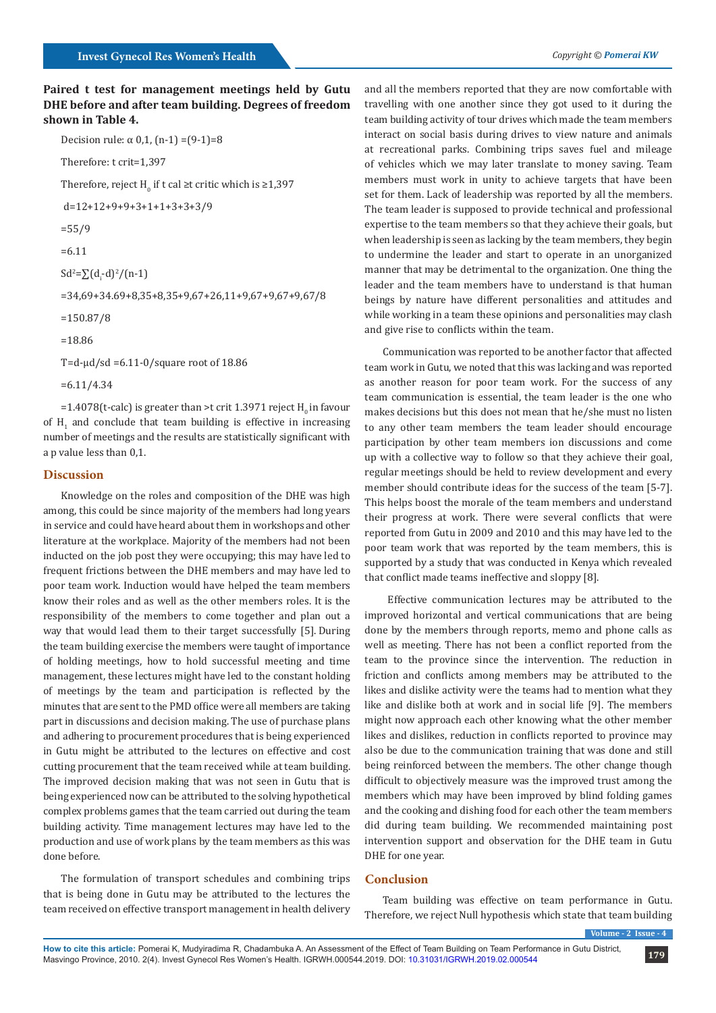# **Paired t test for management meetings held by Gutu DHE before and after team building. Degrees of freedom shown in Table 4.**

```
Decision rule: \alpha 0.1, (n-1) = (9-1) = 8
Therefore: t crit=1,397
Therefore, reject H_0 if t cal ≥t critic which is ≥1,397
 d=12+12+9+9+3+1+1+3+3+3/9
=55/9=6.11
Sd^2 = \sum (d_i-d)^2/(n-1)=34,69+34.69+8,35+8,35+9,67+26,11+9,67+9,67+9,67/8
=150.87/8
=18.86
T=d-\mud/sd =6.11-0/square root of 18.86
```
=6.11/4.34

 $=1.4078$ (t-calc) is greater than >t crit 1.3971 reject H<sub>0</sub> in favour of  $H_1$  and conclude that team building is effective in increasing number of meetings and the results are statistically significant with a p value less than 0,1.

#### **Discussion**

Knowledge on the roles and composition of the DHE was high among, this could be since majority of the members had long years in service and could have heard about them in workshops and other literature at the workplace. Majority of the members had not been inducted on the job post they were occupying; this may have led to frequent frictions between the DHE members and may have led to poor team work. Induction would have helped the team members know their roles and as well as the other members roles. It is the responsibility of the members to come together and plan out a way that would lead them to their target successfully [5]. During the team building exercise the members were taught of importance of holding meetings, how to hold successful meeting and time management, these lectures might have led to the constant holding of meetings by the team and participation is reflected by the minutes that are sent to the PMD office were all members are taking part in discussions and decision making. The use of purchase plans and adhering to procurement procedures that is being experienced in Gutu might be attributed to the lectures on effective and cost cutting procurement that the team received while at team building. The improved decision making that was not seen in Gutu that is being experienced now can be attributed to the solving hypothetical complex problems games that the team carried out during the team building activity. Time management lectures may have led to the production and use of work plans by the team members as this was done before.

The formulation of transport schedules and combining trips that is being done in Gutu may be attributed to the lectures the team received on effective transport management in health delivery

and all the members reported that they are now comfortable with travelling with one another since they got used to it during the team building activity of tour drives which made the team members interact on social basis during drives to view nature and animals at recreational parks. Combining trips saves fuel and mileage of vehicles which we may later translate to money saving. Team members must work in unity to achieve targets that have been set for them. Lack of leadership was reported by all the members. The team leader is supposed to provide technical and professional expertise to the team members so that they achieve their goals, but when leadership is seen as lacking by the team members, they begin to undermine the leader and start to operate in an unorganized manner that may be detrimental to the organization. One thing the leader and the team members have to understand is that human beings by nature have different personalities and attitudes and while working in a team these opinions and personalities may clash and give rise to conflicts within the team.

Communication was reported to be another factor that affected team work in Gutu, we noted that this was lacking and was reported as another reason for poor team work. For the success of any team communication is essential, the team leader is the one who makes decisions but this does not mean that he/she must no listen to any other team members the team leader should encourage participation by other team members ion discussions and come up with a collective way to follow so that they achieve their goal, regular meetings should be held to review development and every member should contribute ideas for the success of the team [5-7]. This helps boost the morale of the team members and understand their progress at work. There were several conflicts that were reported from Gutu in 2009 and 2010 and this may have led to the poor team work that was reported by the team members, this is supported by a study that was conducted in Kenya which revealed that conflict made teams ineffective and sloppy [8].

 Effective communication lectures may be attributed to the improved horizontal and vertical communications that are being done by the members through reports, memo and phone calls as well as meeting. There has not been a conflict reported from the team to the province since the intervention. The reduction in friction and conflicts among members may be attributed to the likes and dislike activity were the teams had to mention what they like and dislike both at work and in social life [9]. The members might now approach each other knowing what the other member likes and dislikes, reduction in conflicts reported to province may also be due to the communication training that was done and still being reinforced between the members. The other change though difficult to objectively measure was the improved trust among the members which may have been improved by blind folding games and the cooking and dishing food for each other the team members did during team building. We recommended maintaining post intervention support and observation for the DHE team in Gutu DHE for one year.

#### **Conclusion**

Team building was effective on team performance in Gutu. Therefore, we reject Null hypothesis which state that team building

**Volume - 2 Issue - 4**